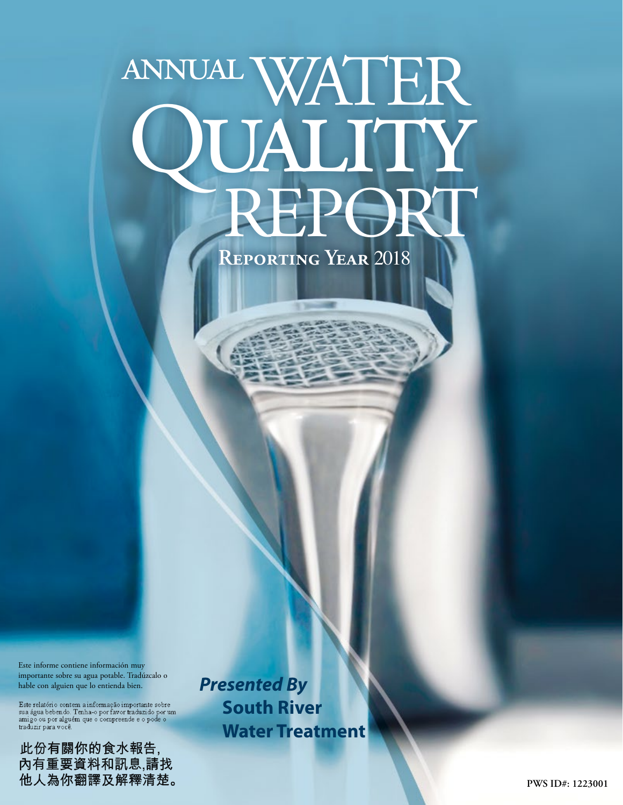# annualWATER QUALITY<br>REPORT

**Reporting Year** 2018

Este informe contiene información muy importante sobre su agua potable. Tradúzcalo o hable con alguien que lo entienda bien.

 $\label{thm:rel} \textsc{Este relatório} \textsc{contem a informação importante sobre} \\ \textsc{sua água bebendo. Tenha-o por favor traduzido por um} \\ \textsc{amigo ou porร de o compreende e o pode o} \\ \end{thm}$ traduzir para você.

此份有關你的食水報告,<br>內有重要資料和訊息,請找 他人為你翻譯及解釋清楚。 *Presented By* **South River Water Treatment**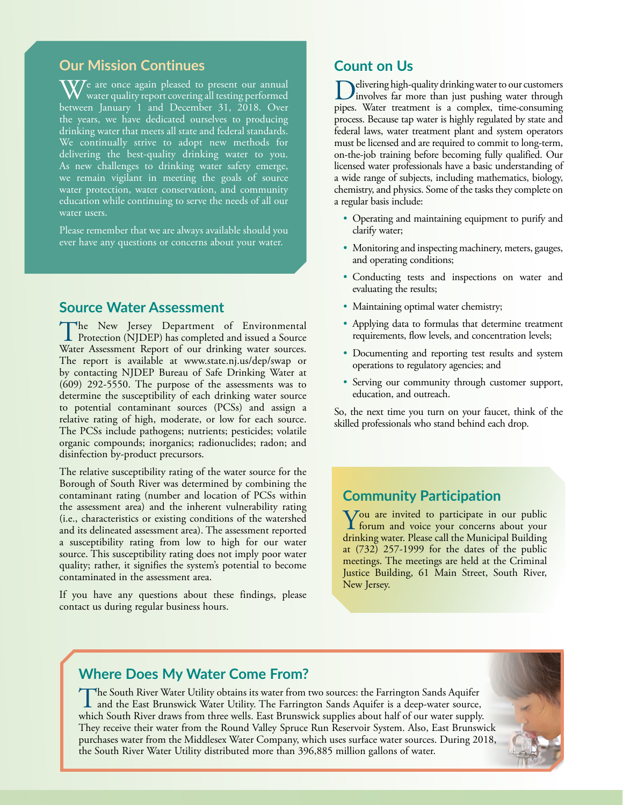## **Our Mission Continues**

 $\mathbf{W}$ e are once again pleased to present our annual water quality report covering all testing performed between January 1 and December 31, 2018. Over the years, we have dedicated ourselves to producing drinking water that meets all state and federal standards. We continually strive to adopt new methods for delivering the best-quality drinking water to you. As new challenges to drinking water safety emerge, we remain vigilant in meeting the goals of source water protection, water conservation, and community education while continuing to serve the needs of all our water users.

Please remember that we are always available should you ever have any questions or concerns about your water.

## **Source Water Assessment**

The New Jersey Department of Environmental<br>Protection (NJDEP) has completed and issued a Source Water Assessment Report of our drinking water sources. The report is available at [www.state.nj.us/dep/swap](http://www.state.nj.us/dep/swap) or by contacting NJDEP Bureau of Safe Drinking Water at (609) 292-5550. The purpose of the assessments was to determine the susceptibility of each drinking water source to potential contaminant sources (PCSs) and assign a relative rating of high, moderate, or low for each source. The PCSs include pathogens; nutrients; pesticides; volatile organic compounds; inorganics; radionuclides; radon; and disinfection by-product precursors.

The relative susceptibility rating of the water source for the Borough of South River was determined by combining the contaminant rating (number and location of PCSs within the assessment area) and the inherent vulnerability rating (i.e., characteristics or existing conditions of the watershed and its delineated assessment area). The assessment reported a susceptibility rating from low to high for our water source. This susceptibility rating does not imply poor water quality; rather, it signifies the system's potential to become contaminated in the assessment area.

If you have any questions about these findings, please contact us during regular business hours.

## **Count on Us**

Delivering high-quality drinking water to our customers<br>involves far more than just pushing water through pipes. Water treatment is a complex, time-consuming process. Because tap water is highly regulated by state and federal laws, water treatment plant and system operators must be licensed and are required to commit to long-term, on-the-job training before becoming fully qualified. Our licensed water professionals have a basic understanding of a wide range of subjects, including mathematics, biology, chemistry, and physics. Some of the tasks they complete on a regular basis include:

- Operating and maintaining equipment to purify and clarify water;
- Monitoring and inspecting machinery, meters, gauges, and operating conditions;
- Conducting tests and inspections on water and evaluating the results;
- Maintaining optimal water chemistry;
- Applying data to formulas that determine treatment requirements, flow levels, and concentration levels;
- Documenting and reporting test results and system operations to regulatory agencies; and
- Serving our community through customer support, education, and outreach.

So, the next time you turn on your faucet, think of the skilled professionals who stand behind each drop.

## **Community Participation**

You are invited to participate in our public forum and voice your concerns about your drinking water. Please call the Municipal Building at (732) 257-1999 for the dates of the public meetings. The meetings are held at the Criminal Justice Building, 61 Main Street, South River, New Jersey.

# **Where Does My Water Come From?**

The South River Water Utility obtains its water from two sources: the Farrington Sands Aquifer<br>and the East Brunswick Water Utility. The Farrington Sands Aquifer is a deep-water source,<br>which Sauth Bings draw from these we which South River draws from three wells. East Brunswick supplies about half of our water supply. They receive their water from the Round Valley Spruce Run Reservoir System. Also, East Brunswick purchases water from the Middlesex Water Company, which uses surface water sources. During 2018, the South River Water Utility distributed more than 396,885 million gallons of water.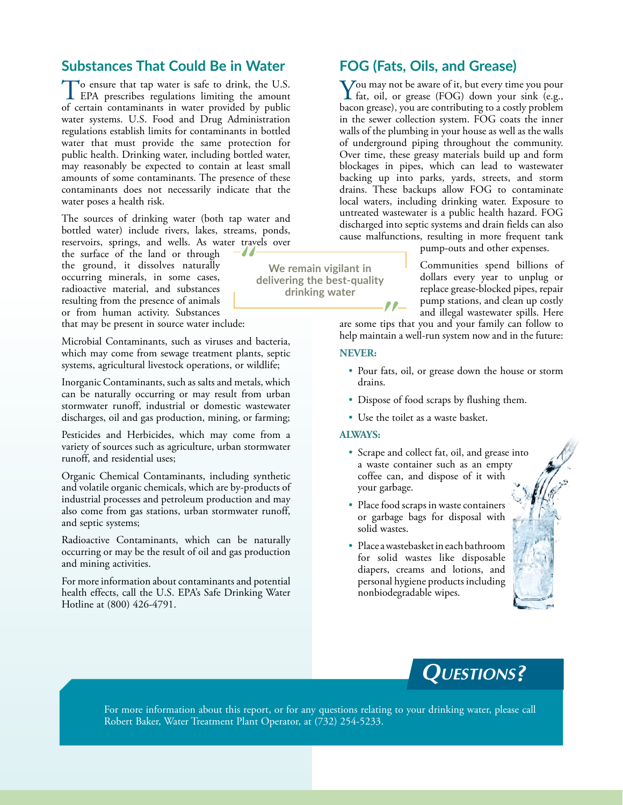## **Substances That Could Be in Water**

To ensure that tap water is safe to drink, the U.S.<br>EPA prescribes regulations limiting the amount of certain contaminants in water provided by public water systems. U.S. Food and Drug Administration regulations establish limits for contaminants in bottled water that must provide the same protection for public health. Drinking water, including bottled water, may reasonably be expected to contain at least small amounts of some contaminants. The presence of these contaminants does not necessarily indicate that the water poses a health risk.

The sources of drinking water (both tap water and bottled water) include rivers, lakes, streams, ponds, reservoirs, springs, and wells. As water travels over<br>the surface of the land or through

the surface of the land or through the ground, it dissolves naturally occurring minerals, in some cases, radioactive material, and substances resulting from the presence of animals or from human activity. Substances

that may be present in source water include:

Microbial Contaminants, such as viruses and bacteria, which may come from sewage treatment plants, septic systems, agricultural livestock operations, or wildlife;

Inorganic Contaminants, such as salts and metals, which can be naturally occurring or may result from urban stormwater runoff, industrial or domestic wastewater discharges, oil and gas production, mining, or farming;

Pesticides and Herbicides, which may come from a variety of sources such as agriculture, urban stormwater runoff, and residential uses;

Organic Chemical Contaminants, including synthetic and volatile organic chemicals, which are by-products of industrial processes and petroleum production and may also come from gas stations, urban stormwater runoff, and septic systems;

Radioactive Contaminants, which can be naturally occurring or may be the result of oil and gas production and mining activities.

For more information about contaminants and potential health effects, call the U.S. EPA's Safe Drinking Water Hotline at (800) 426-4791.

**FOG (Fats, Oils, and Grease)**

You may not be aware of it, but every time you pour fat, oil, or grease (FOG) down your sink (e.g., bacon grease), you are contributing to a costly problem in the sewer collection system. FOG coats the inner walls of the plumbing in your house as well as the walls of underground piping throughout the community. Over time, these greasy materials build up and form blockages in pipes, which can lead to wastewater backing up into parks, yards, streets, and storm drains. These backups allow FOG to contaminate local waters, including drinking water. Exposure to untreated wastewater is a public health hazard. FOG discharged into septic systems and drain fields can also cause malfunctions, resulting in more frequent tank

pump-outs and other expenses.

Communities spend billions of dollars every year to unplug or replace grease-blocked pipes, repair pump stations, and clean up costly and illegal wastewater spills. Here

are some tips that you and your family can follow to help maintain a well-run system now and in the future:

#### **NEVER:**

**We remain vigilant in delivering the best-quality drinking water**

- Pour fats, oil, or grease down the house or storm drains.
- Dispose of food scraps by flushing them.
- Use the toilet as a waste basket.

#### **ALWAYS:**

- Scrape and collect fat, oil, and grease into a waste container such as an empty coffee can, and dispose of it with your garbage.
- Place food scraps in waste containers or garbage bags for disposal with solid wastes.
- Place a wastebasket in each bathroom for solid wastes like disposable diapers, creams and lotions, and personal hygiene products including nonbiodegradable wipes.



For more information about this report, or for any questions relating to your drinking water, please call Robert Baker, Water Treatment Plant Operator, at (732) 254-5233.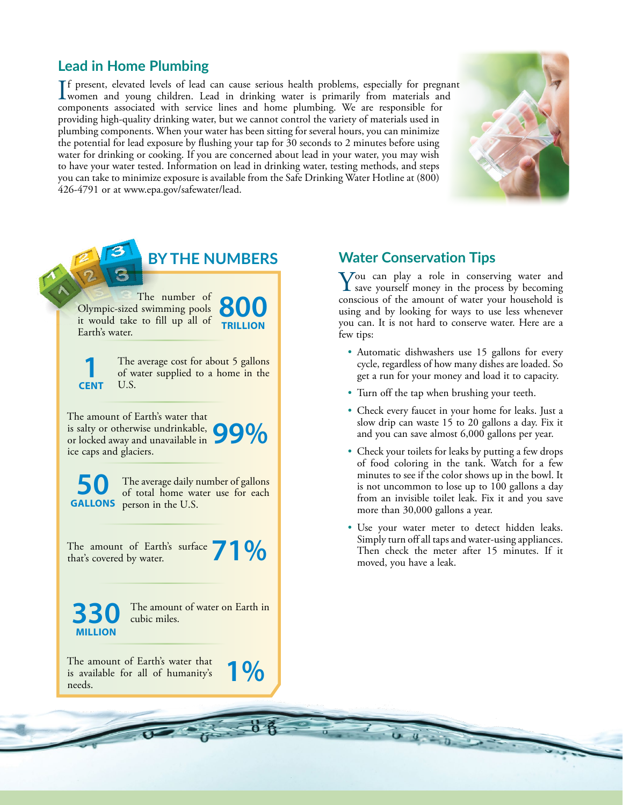# **Lead in Home Plumbing**

If present, elevated levels of lead can cause serious health problems, especially for pregnar<br>women and young children. Lead in drinking water is primarily from materials and<br>approaches are consisted with semina lines and f present, elevated levels of lead can cause serious health problems, especially for pregnant components associated with service lines and home plumbing. We are responsible for providing high-quality drinking water, but we cannot control the variety of materials used in plumbing components. When your water has been sitting for several hours, you can minimize the potential for lead exposure by flushing your tap for 30 seconds to 2 minutes before using water for drinking or cooking. If you are concerned about lead in your water, you may wish to have your water tested. Information on lead in drinking water, testing methods, and steps you can take to minimize exposure is available from the Safe Drinking Water Hotline at (800) 426-4791 or at [www.epa.gov/safewater/lead](http://www.epa.gov/safewater/lead).





## **Water Conservation Tips**

 $\sum$  ou can play a role in conserving water and save yourself money in the process by becoming conscious of the amount of water your household is using and by looking for ways to use less whenever you can. It is not hard to conserve water. Here are a

- Automatic dishwashers use 15 gallons for every cycle, regardless of how many dishes are loaded. So get a run for your money and load it to capacity.
- Turn off the tap when brushing your teeth.
- Check every faucet in your home for leaks. Just a slow drip can waste 15 to 20 gallons a day. Fix it and you can save almost 6,000 gallons per year.
- Check your toilets for leaks by putting a few drops of food coloring in the tank. Watch for a few minutes to see if the color shows up in the bowl. It is not uncommon to lose up to 100 gallons a day from an invisible toilet leak. Fix it and you save more than 30,000 gallons a year.
- Use your water meter to detect hidden leaks. Simply turn off all taps and water-using appliances. Then check the meter after 15 minutes. If it moved, you have a leak.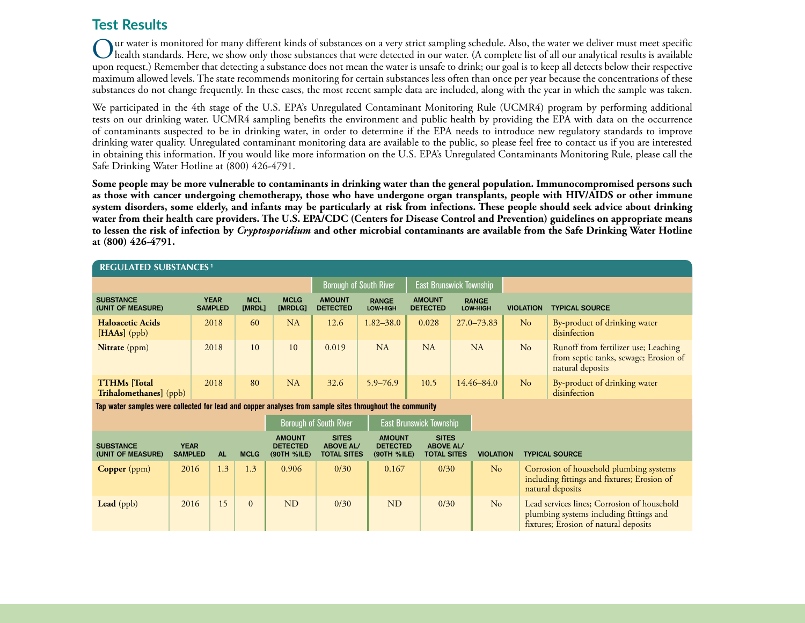# **Test Results**

Our water is monitored for many different kinds of substances on a very strict sampling schedule. Also, the water we deliver must meet specific<br>Whealth standards. Here, we show only those substances that were detected in o upon request.) Remember that detecting a substance does not mean the water is unsafe to drink; our goal is to keep all detects below their respective maximum allowed levels. The state recommends monitoring for certain substances less often than once per year because the concentrations of these substances do not change frequently. In these cases, the most recent sample data are included, along with the year in which the sample was taken.

We participated in the 4th stage of the U.S. EPA's Unregulated Contaminant Monitoring Rule (UCMR4) program by performing additional tests on our drinking water. UCMR4 sampling benefits the environment and public health by providing the EPA with data on the occurrence of contaminants suspected to be in drinking water, in order to determine if the EPA needs to introduce new regulatory standards to improve drinking water quality. Unregulated contaminant monitoring data are available to the public, so please feel free to contact us if you are interested in obtaining this information. If you would like more information on the U.S. EPA's Unregulated Contaminants Monitoring Rule, please call the Safe Drinking Water Hotline at (800) 426-4791.

**Some people may be more vulnerable to contaminants in drinking water than the general population. Immunocompromised persons such as those with cancer undergoing chemotherapy, those who have undergone organ transplants, people with HIV/AIDS or other immune system disorders, some elderly, and infants may be particularly at risk from infections. These people should seek advice about drinking water from their health care providers. The U.S. EPA/CDC (Centers for Disease Control and Prevention) guidelines on appropriate means to lessen the risk of infection by** *Cryptosporidium* **and other microbial contaminants are available from the Safe Drinking Water Hotline at (800) 426-4791.**

| <b>REGULATED SUBSTANCES<sup>1</sup></b>                                                                  |                               |                               |                      |                                                 |                                                        |                                                 |                                                        |                          |                  |                                                                                                            |  |
|----------------------------------------------------------------------------------------------------------|-------------------------------|-------------------------------|----------------------|-------------------------------------------------|--------------------------------------------------------|-------------------------------------------------|--------------------------------------------------------|--------------------------|------------------|------------------------------------------------------------------------------------------------------------|--|
|                                                                                                          |                               |                               |                      |                                                 | <b>Borough of South River</b>                          |                                                 | East Brunswick Township                                |                          |                  |                                                                                                            |  |
| <b>SUBSTANCE</b><br>(UNIT OF MEASURE)                                                                    |                               | <b>YEAR</b><br><b>SAMPLED</b> | <b>MCL</b><br>[MRDL] | <b>MCLG</b><br>[MRDLG]                          | <b>AMOUNT</b><br><b>DETECTED</b>                       | <b>RANGE</b><br>LOW-HIGH                        | <b>AMOUNT</b><br><b>DETECTED</b>                       | <b>RANGE</b><br>LOW-HIGH | <b>VIOLATION</b> | <b>TYPICAL SOURCE</b>                                                                                      |  |
| <b>Haloacetic Acids</b><br>$[HAAs]$ (ppb)                                                                |                               | 2018                          | 60                   | <b>NA</b>                                       | 12.6                                                   | $1.82 - 38.0$                                   | 0.028                                                  | $27.0 - 73.83$           | No               | By-product of drinking water<br>disinfection                                                               |  |
| Nitrate (ppm)                                                                                            |                               | 2018                          | 10                   | 10                                              | 0.019                                                  | NA                                              | <b>NA</b>                                              | NA                       | No               | Runoff from fertilizer use; Leaching<br>from septic tanks, sewage; Erosion of<br>natural deposits          |  |
| <b>TTHMs</b> [Total]<br>Trihalomethanes] (ppb)                                                           |                               | 2018                          | 80                   | NA                                              | 32.6                                                   | $5.9 - 76.9$                                    | 10.5                                                   | $14.46 - 84.0$           | No               | By-product of drinking water<br>disinfection                                                               |  |
| Tap water samples were collected for lead and copper analyses from sample sites throughout the community |                               |                               |                      |                                                 |                                                        |                                                 |                                                        |                          |                  |                                                                                                            |  |
|                                                                                                          |                               |                               |                      |                                                 | <b>Borough of South River</b>                          | East Brunswick Township                         |                                                        |                          |                  |                                                                                                            |  |
| <b>SUBSTANCE</b><br>(UNIT OF MEASURE)                                                                    | <b>YEAR</b><br><b>SAMPLED</b> | <b>AL</b>                     | <b>MCLG</b>          | <b>AMOUNT</b><br><b>DETECTED</b><br>(90TH %ILE) | <b>SITES</b><br><b>ABOVE AL/</b><br><b>TOTAL SITES</b> | <b>AMOUNT</b><br><b>DETECTED</b><br>(90TH %ILE) | <b>SITES</b><br><b>ABOVE AL/</b><br><b>TOTAL SITES</b> |                          | <b>VIOLATION</b> | <b>TYPICAL SOURCE</b>                                                                                      |  |
| <b>Copper</b> (ppm)                                                                                      | 2016                          | 1.3                           | 1.3                  | 0.906                                           | 0/30                                                   | 0.167                                           | 0/30                                                   |                          | No               | Corrosion of household plumbing systems<br>including fittings and fixtures; Erosion of<br>natural deposits |  |
| <b>Lead</b> (ppb)                                                                                        | 2016                          | 15                            | $\Omega$             | <b>ND</b>                                       | 0/30                                                   | <b>ND</b>                                       | 0/30                                                   |                          | No               | Lead services lines; Corrosion of household<br>plumbing systems including fittings and                     |  |

fixtures; Erosion of natural deposits